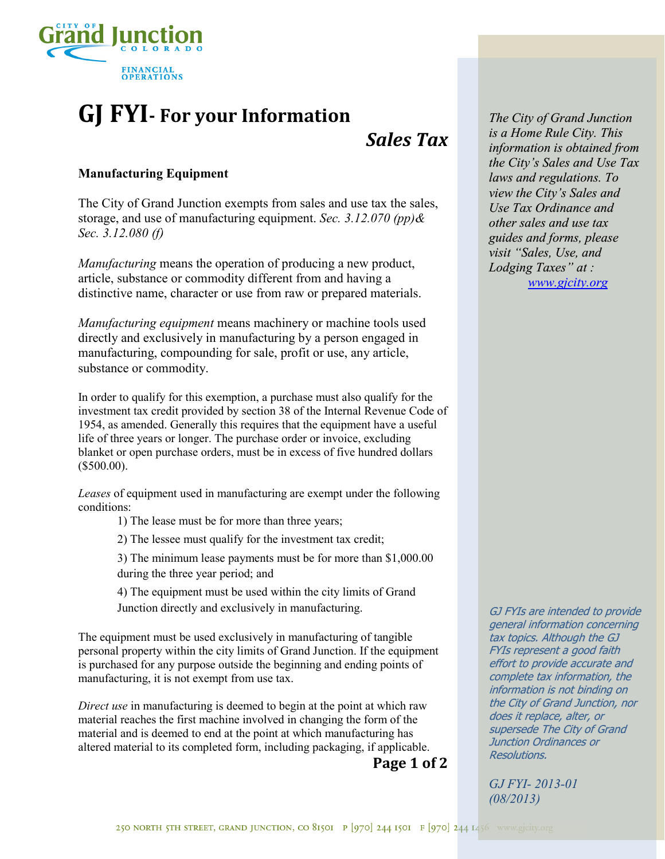

# **GJ FYI- For your Information**

## *Sales Tax*

### **Manufacturing Equipment**

The City of Grand Junction exempts from sales and use tax the sales, storage, and use of manufacturing equipment. *Sec. 3.12.070 (pp)& Sec. 3.12.080 (f)*

*Manufacturing* means the operation of producing a new product, article, substance or commodity different from and having a distinctive name, character or use from raw or prepared materials.

*Manufacturing equipment* means machinery or machine tools used directly and exclusively in manufacturing by a person engaged in manufacturing, compounding for sale, profit or use, any article, substance or commodity.

In order to qualify for this exemption, a purchase must also qualify for the investment tax credit provided by section 38 of the Internal Revenue Code of 1954, as amended. Generally this requires that the equipment have a useful life of three years or longer. The purchase order or invoice, excluding blanket or open purchase orders, must be in excess of five hundred dollars (\$500.00).

*Leases* of equipment used in manufacturing are exempt under the following conditions:

1) The lease must be for more than three years;

2) The lessee must qualify for the investment tax credit;

3) The minimum lease payments must be for more than \$1,000.00 during the three year period; and

4) The equipment must be used within the city limits of Grand Junction directly and exclusively in manufacturing.

The equipment must be used exclusively in manufacturing of tangible personal property within the city limits of Grand Junction. If the equipment is purchased for any purpose outside the beginning and ending points of manufacturing, it is not exempt from use tax.

*Direct use* in manufacturing is deemed to begin at the point at which raw material reaches the first machine involved in changing the form of the material and is deemed to end at the point at which manufacturing has altered material to its completed form, including packaging, if applicable.

**Page 1 of 2**

*The City of Grand Junction is a Home Rule City. This information is obtained from the City's Sales and Use Tax laws and regulations. To view the City's Sales and Use Tax Ordinance and other sales and use tax guides and forms, please visit "Sales, Use, and Lodging Taxes" at : [www.gjcity.org](http://www.gjcity.org/CityDeptWebPages/AdministrativeServices/CustomerServices/SalesTax.htm)*

GJ FYIs are intended to provide general information concerning tax topics. Although the GJ GJ FYIs represent a good faith effort to provide accurate and complete tax information, the information is not binding on the City of Grand Junction, nor does it replace, alter, or supersede The City of Grand Junction Ordinances or Resolutions.

*GJ FYI- 2013-01 (08/2013)*